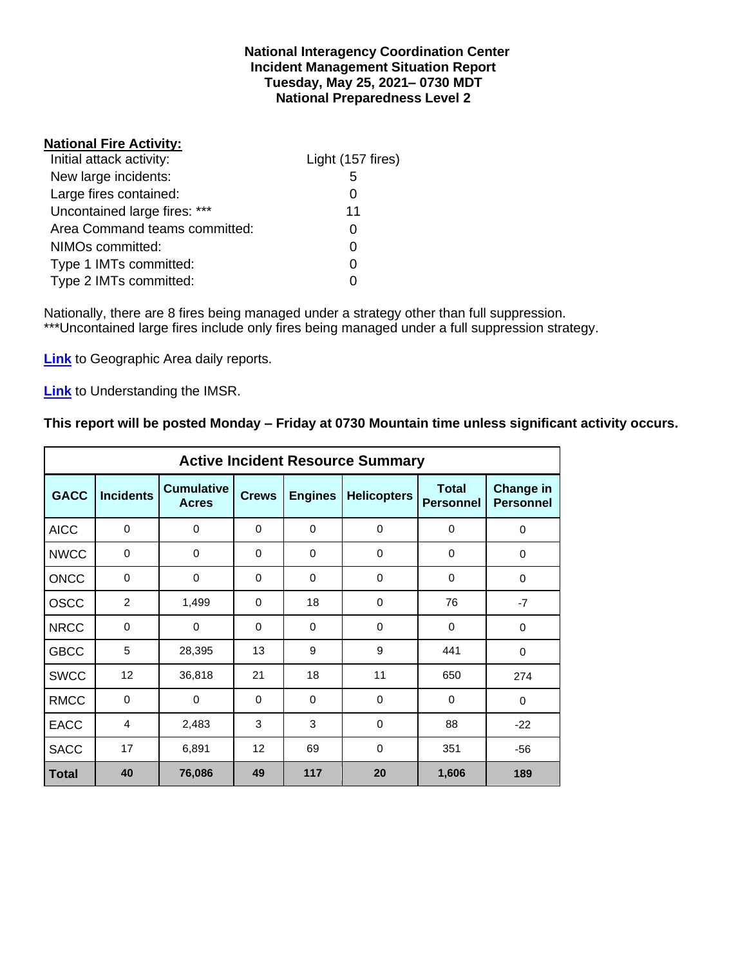#### **National Interagency Coordination Center Incident Management Situation Report Tuesday, May 25, 2021– 0730 MDT National Preparedness Level 2**

#### **National Fire Activity:**

| Initial attack activity:      | Light (157 fires) |
|-------------------------------|-------------------|
| New large incidents:          | 5                 |
| Large fires contained:        |                   |
| Uncontained large fires: ***  | 11                |
| Area Command teams committed: |                   |
| NIMOs committed:              |                   |
| Type 1 IMTs committed:        |                   |
| Type 2 IMTs committed:        |                   |

Nationally, there are 8 fires being managed under a strategy other than full suppression. \*\*\*Uncontained large fires include only fires being managed under a full suppression strategy.

**[Link](http://www.nifc.gov/nicc/predictive/statelinks.htm)** to Geographic Area daily reports.

**[Link](https://www.predictiveservices.nifc.gov/intelligence/Understanding%20the%20IMSR%202019.pdf)** to Understanding the IMSR.

## **This report will be posted Monday – Friday at 0730 Mountain time unless significant activity occurs.**

|              | <b>Active Incident Resource Summary</b> |                                   |              |                |                    |                                  |                                      |  |  |  |  |  |  |  |
|--------------|-----------------------------------------|-----------------------------------|--------------|----------------|--------------------|----------------------------------|--------------------------------------|--|--|--|--|--|--|--|
| <b>GACC</b>  | <b>Incidents</b>                        | <b>Cumulative</b><br><b>Acres</b> | <b>Crews</b> | <b>Engines</b> | <b>Helicopters</b> | <b>Total</b><br><b>Personnel</b> | <b>Change in</b><br><b>Personnel</b> |  |  |  |  |  |  |  |
| <b>AICC</b>  | $\mathbf 0$                             | 0                                 | $\Omega$     | $\Omega$       | $\mathbf 0$        | 0                                | 0                                    |  |  |  |  |  |  |  |
| <b>NWCC</b>  | 0                                       | 0                                 | 0            | 0              | 0                  | 0                                | 0                                    |  |  |  |  |  |  |  |
| <b>ONCC</b>  | 0                                       | 0                                 | $\Omega$     | $\Omega$       | $\Omega$           | $\Omega$                         | $\Omega$                             |  |  |  |  |  |  |  |
| <b>OSCC</b>  | $\overline{2}$                          | 1,499                             | $\Omega$     | 18             | $\mathbf 0$        | 76                               | $-7$                                 |  |  |  |  |  |  |  |
| <b>NRCC</b>  | 0                                       | 0                                 | 0            | 0              | 0                  | 0                                | $\mathbf 0$                          |  |  |  |  |  |  |  |
| <b>GBCC</b>  | 5                                       | 28,395                            | 13           | 9              | 9                  | 441                              | 0                                    |  |  |  |  |  |  |  |
| <b>SWCC</b>  | 12                                      | 36,818                            | 21           | 18             | 11                 | 650                              | 274                                  |  |  |  |  |  |  |  |
| <b>RMCC</b>  | $\mathbf 0$                             | 0                                 | $\Omega$     | $\Omega$       | $\Omega$           | $\Omega$                         | $\Omega$                             |  |  |  |  |  |  |  |
| <b>EACC</b>  | 4                                       | 2,483                             | 3            | 3              | $\Omega$           | 88                               | $-22$                                |  |  |  |  |  |  |  |
| <b>SACC</b>  | 17                                      | 6,891                             | 12           | 69             | 0                  | 351                              | $-56$                                |  |  |  |  |  |  |  |
| <b>Total</b> | 40                                      | 76,086                            | 49           | 117            | 20                 | 1,606                            | 189                                  |  |  |  |  |  |  |  |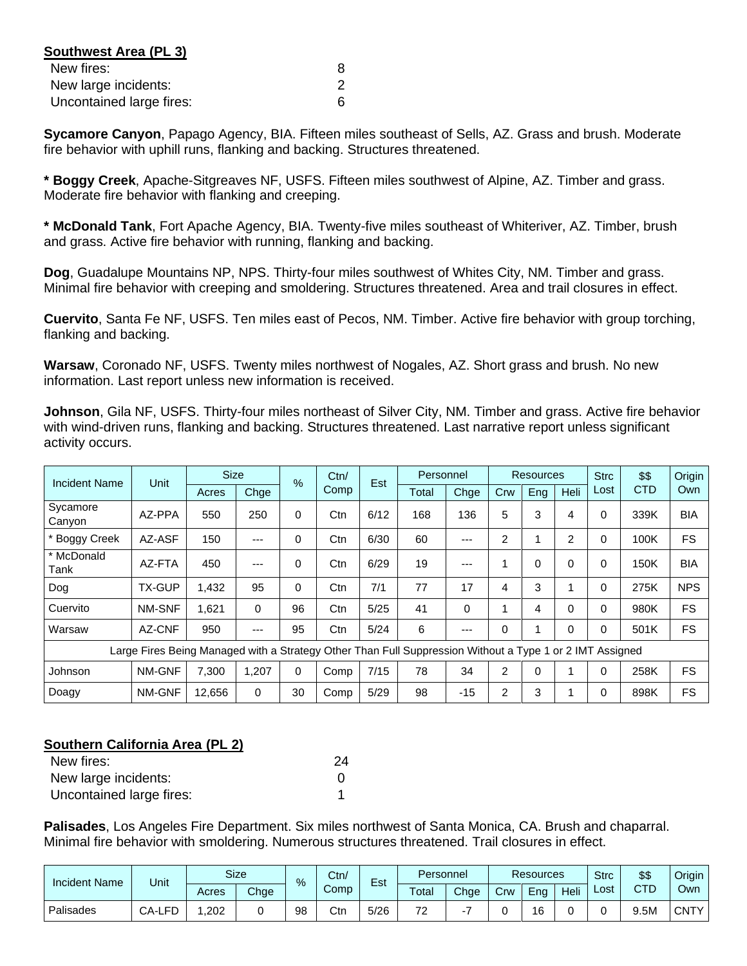| Southwest Area (PL 3)    |   |
|--------------------------|---|
| New fires:               | 8 |
| New large incidents:     |   |
| Uncontained large fires: |   |

**Sycamore Canyon**, Papago Agency, BIA. Fifteen miles southeast of Sells, AZ. Grass and brush. Moderate fire behavior with uphill runs, flanking and backing. Structures threatened.

**\* Boggy Creek**, Apache-Sitgreaves NF, USFS. Fifteen miles southwest of Alpine, AZ. Timber and grass. Moderate fire behavior with flanking and creeping.

**\* McDonald Tank**, Fort Apache Agency, BIA. Twenty-five miles southeast of Whiteriver, AZ. Timber, brush and grass. Active fire behavior with running, flanking and backing.

**Dog**, Guadalupe Mountains NP, NPS. Thirty-four miles southwest of Whites City, NM. Timber and grass. Minimal fire behavior with creeping and smoldering. Structures threatened. Area and trail closures in effect.

**Cuervito**, Santa Fe NF, USFS. Ten miles east of Pecos, NM. Timber. Active fire behavior with group torching, flanking and backing.

**Warsaw**, Coronado NF, USFS. Twenty miles northwest of Nogales, AZ. Short grass and brush. No new information. Last report unless new information is received.

**Johnson**, Gila NF, USFS. Thirty-four miles northeast of Silver City, NM. Timber and grass. Active fire behavior with wind-driven runs, flanking and backing. Structures threatened. Last narrative report unless significant activity occurs.

| Incident Name      | Unit                                                                                                     | <b>Size</b> |       | Ctn/<br>$\frac{9}{6}$ | Est  | Personnel |       |       | <b>Resources</b> |          | <b>Strc</b> | \$\$     | Origin     |            |
|--------------------|----------------------------------------------------------------------------------------------------------|-------------|-------|-----------------------|------|-----------|-------|-------|------------------|----------|-------------|----------|------------|------------|
|                    |                                                                                                          | Acres       | Chge  |                       | Comp |           | Total | Chge  | Crw              | Eng      | Heli        | Lost     | <b>CTD</b> | Own        |
| Sycamore<br>Canyon | AZ-PPA                                                                                                   | 550         | 250   | 0                     | Ctn  | 6/12      | 168   | 136   | 5                | 3        | 4           | $\Omega$ | 339K       | <b>BIA</b> |
| * Boggy Creek      | AZ-ASF                                                                                                   | 150         | ---   | 0                     | Ctn  | 6/30      | 60    | ---   | 2                |          | 2           | $\Omega$ | 100K       | <b>FS</b>  |
| * McDonald<br>Tank | AZ-FTA                                                                                                   | 450         | ---   | 0                     | Ctn  | 6/29      | 19    | ---   | 4                | $\Omega$ | 0           | $\Omega$ | 150K       | <b>BIA</b> |
| Dog                | <b>TX-GUP</b>                                                                                            | 1.432       | 95    | 0                     | Ctn  | 7/1       | 77    | 17    | 4                | 3        |             | $\Omega$ | 275K       | <b>NPS</b> |
| Cuervito           | NM-SNF                                                                                                   | 1,621       | 0     | 96                    | Ctn  | 5/25      | 41    | 0     |                  | 4        | 0           | $\Omega$ | 980K       | <b>FS</b>  |
| Warsaw             | AZ-CNF                                                                                                   | 950         | ---   | 95                    | Ctn  | 5/24      | 6     | ---   | 0                |          | 0           | $\Omega$ | 501K       | <b>FS</b>  |
|                    | Large Fires Being Managed with a Strategy Other Than Full Suppression Without a Type 1 or 2 IMT Assigned |             |       |                       |      |           |       |       |                  |          |             |          |            |            |
| Johnson            | NM-GNF                                                                                                   | 7.300       | 1,207 | 0                     | Comp | 7/15      | 78    | 34    | $\overline{2}$   | 0        |             | $\Omega$ | 258K       | <b>FS</b>  |
| Doagy              | NM-GNF                                                                                                   | 12,656      | 0     | 30                    | Comp | 5/29      | 98    | $-15$ | 2                | 3        |             | $\Omega$ | 898K       | <b>FS</b>  |

## **Southern California Area (PL 2)**

| New fires:               | 24 |
|--------------------------|----|
| New large incidents:     |    |
| Uncontained large fires: |    |

**Palisades**, Los Angeles Fire Department. Six miles northwest of Santa Monica, CA. Brush and chaparral. Minimal fire behavior with smoldering. Numerous structures threatened. Trail closures in effect.

| <b>Incident Name</b> | Unit   |       | <b>Size</b> | $\frac{9}{6}$ | Ctn/ | $\overline{\phantom{0}}$<br>Est |       | Personnel |     | <b>Resources</b> |      |      | \$\$ | Origin I    |
|----------------------|--------|-------|-------------|---------------|------|---------------------------------|-------|-----------|-----|------------------|------|------|------|-------------|
|                      |        | Acres | Chge        |               | Comp |                                 | Total | Chge      | Crw | Ena              | Heli | ∟ost | CTD  | Own         |
| Palisades            | CA-LFD | .202  |             | 98            | Ctn  | 5/26                            | 70    |           |     | 16               |      |      | 9.5M | <b>CNTY</b> |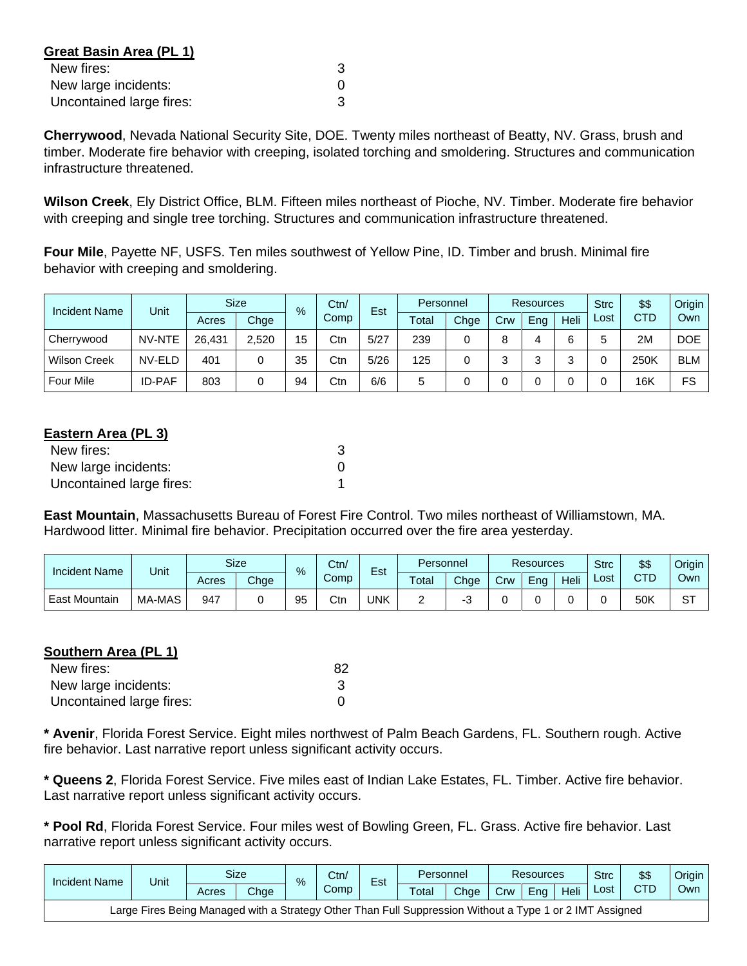| Great Basin Area (PL 1)  |   |
|--------------------------|---|
| New fires:               | 3 |
| New large incidents:     |   |
| Uncontained large fires: |   |

**Cherrywood**, Nevada National Security Site, DOE. Twenty miles northeast of Beatty, NV. Grass, brush and timber. Moderate fire behavior with creeping, isolated torching and smoldering. Structures and communication infrastructure threatened.

**Wilson Creek**, Ely District Office, BLM. Fifteen miles northeast of Pioche, NV. Timber. Moderate fire behavior with creeping and single tree torching. Structures and communication infrastructure threatened.

**Four Mile**, Payette NF, USFS. Ten miles southwest of Yellow Pine, ID. Timber and brush. Minimal fire behavior with creeping and smoldering.

| <b>Incident Name</b> | Unit          |        | <b>Size</b> | $\frac{9}{6}$ | Ctn/ | Est  |       | Personnel |     |     | Resources |      | \$\$       | Origin     |
|----------------------|---------------|--------|-------------|---------------|------|------|-------|-----------|-----|-----|-----------|------|------------|------------|
|                      |               | Acres  | Chge        |               | Comp |      | Total | Chge      | Crw | Ena | Heli      | Lost | <b>CTD</b> | Own        |
| Cherrywood           | NV-NTE        | 26.431 | 2.520       | 15            | Ctn  | 5/27 | 239   |           |     |     | 6         |      | 2M         | <b>DOE</b> |
| <b>Wilson Creek</b>  | NV-ELD        | 401    |             | 35            | Ctn  | 5/26 | 125   |           |     |     |           |      | 250K       | <b>BLM</b> |
| <b>Four Mile</b>     | <b>ID-PAF</b> | 803    |             | 94            | Ctn  | 6/6  | 5     |           |     |     |           |      | 16K        | FS         |

## **Eastern Area (PL 3)**

| New fires:               |  |
|--------------------------|--|
| New large incidents:     |  |
| Uncontained large fires: |  |

**East Mountain**, Massachusetts Bureau of Forest Fire Control. Two miles northeast of Williamstown, MA. Hardwood litter. Minimal fire behavior. Precipitation occurred over the fire area yesterday.

| <b>Incident Name</b> |        | <b>Size</b><br>Ctn/<br>Est<br>Unit<br>$\%$ |      | Personnel |      | <b>Resources</b> |       |      | <b>Strc</b> | \$\$ | Origin |      |     |               |
|----------------------|--------|--------------------------------------------|------|-----------|------|------------------|-------|------|-------------|------|--------|------|-----|---------------|
|                      |        | Acres                                      | Chge |           | Comp |                  | Total | Chge | Crw         | Ena  | Heli   | ∟ost | CTD | Own           |
| : Mountain<br>East   | MA-MAS | 947                                        |      | ΩF<br>ວບ  | Ctn  | UNK              |       |      |             |      |        |      | 50K | $\Gamma$<br>ت |

#### **Southern Area (PL 1)**

| New fires:               | 82 |
|--------------------------|----|
| New large incidents:     |    |
| Uncontained large fires: |    |

**\* Avenir**, Florida Forest Service. Eight miles northwest of Palm Beach Gardens, FL. Southern rough. Active fire behavior. Last narrative report unless significant activity occurs.

**\* Queens 2**, Florida Forest Service. Five miles east of Indian Lake Estates, FL. Timber. Active fire behavior. Last narrative report unless significant activity occurs.

**\* Pool Rd**, Florida Forest Service. Four miles west of Bowling Green, FL. Grass. Active fire behavior. Last narrative report unless significant activity occurs.

| Incident Name                                                                                            | Jnit |       | Size | $\%$ | Ctn/ | $\overline{\phantom{0}}$<br>Est |                        | Personnel |     | Resources |      |      | \$\$ | Origin |
|----------------------------------------------------------------------------------------------------------|------|-------|------|------|------|---------------------------------|------------------------|-----------|-----|-----------|------|------|------|--------|
|                                                                                                          |      | Acres | Chge |      | Comp |                                 | $\tau$ <sub>otal</sub> | Chae      | Crw | Ena       | Heli | Lost | CTD  | Ownl   |
| Large Fires Being Managed with a Strategy Other Than Full Suppression Without a Type 1 or 2 IMT Assigned |      |       |      |      |      |                                 |                        |           |     |           |      |      |      |        |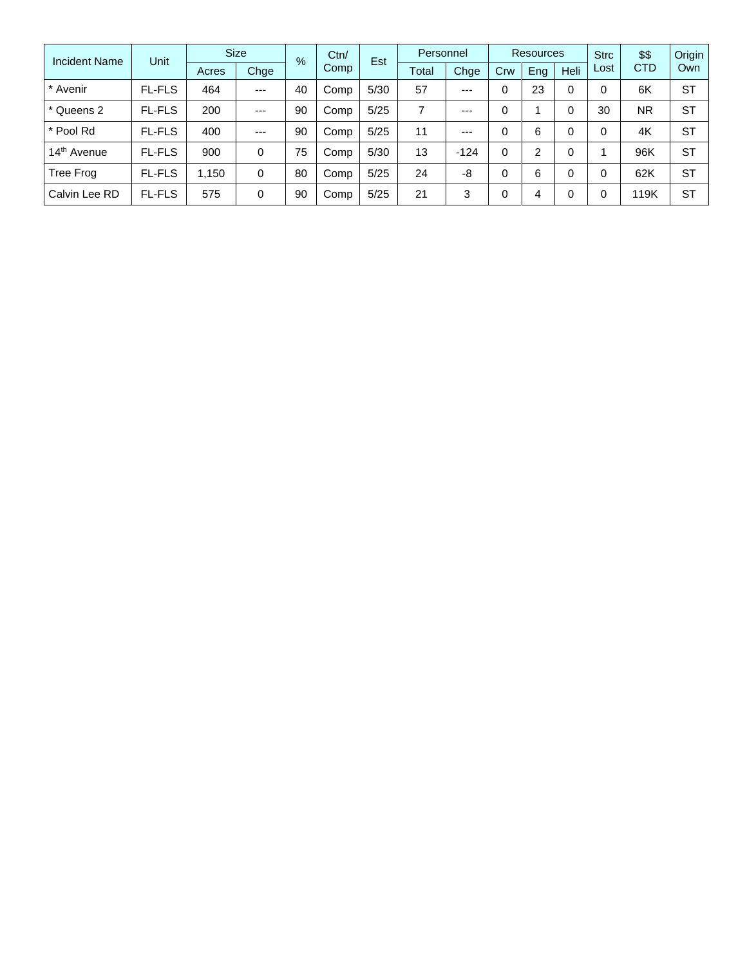| <b>Incident Name</b>    | Unit          | <b>Size</b> |         | $\%$ | Ctn/ | Est  | Personnel |        | <b>Resources</b> |     | <b>Strc</b> | \$\$ | Origin     |           |
|-------------------------|---------------|-------------|---------|------|------|------|-----------|--------|------------------|-----|-------------|------|------------|-----------|
|                         |               | Acres       | Chge    |      | Comp |      | Total     | Chge   | Crw              | Eng | <b>Heli</b> | Lost | <b>CTD</b> | Own       |
| * Avenir                | <b>FL-FLS</b> | 464         | $---$   | 40   | Comp | 5/30 | 57        | $---$  | 0                | 23  | $\Omega$    | 0    | 6K         | <b>ST</b> |
| * Queens 2              | <b>FL-FLS</b> | 200         | $- - -$ | 90   | Comp | 5/25 | 7         | $--$   | 0                |     | 0           | 30   | <b>NR</b>  | <b>ST</b> |
| * Pool Rd               | <b>FL-FLS</b> | 400         | $---$   | 90   | Comp | 5/25 | 11        | $---$  | 0                | 6   | $\Omega$    | 0    | 4K         | <b>ST</b> |
| 14 <sup>th</sup> Avenue | <b>FL-FLS</b> | 900         | 0       | 75   | Comp | 5/30 | 13        | $-124$ | 0                | 2   | 0           |      | 96K        | ST        |
| Tree Frog               | <b>FL-FLS</b> | 1,150       | 0       | 80   | Comp | 5/25 | 24        | -8     | 0                | 6   | $\Omega$    |      | 62K        | ST        |
| Calvin Lee RD           | <b>FL-FLS</b> | 575         | 0       | 90   | Comp | 5/25 | 21        | 3      |                  | 4   | $\Omega$    |      | 19K        | <b>ST</b> |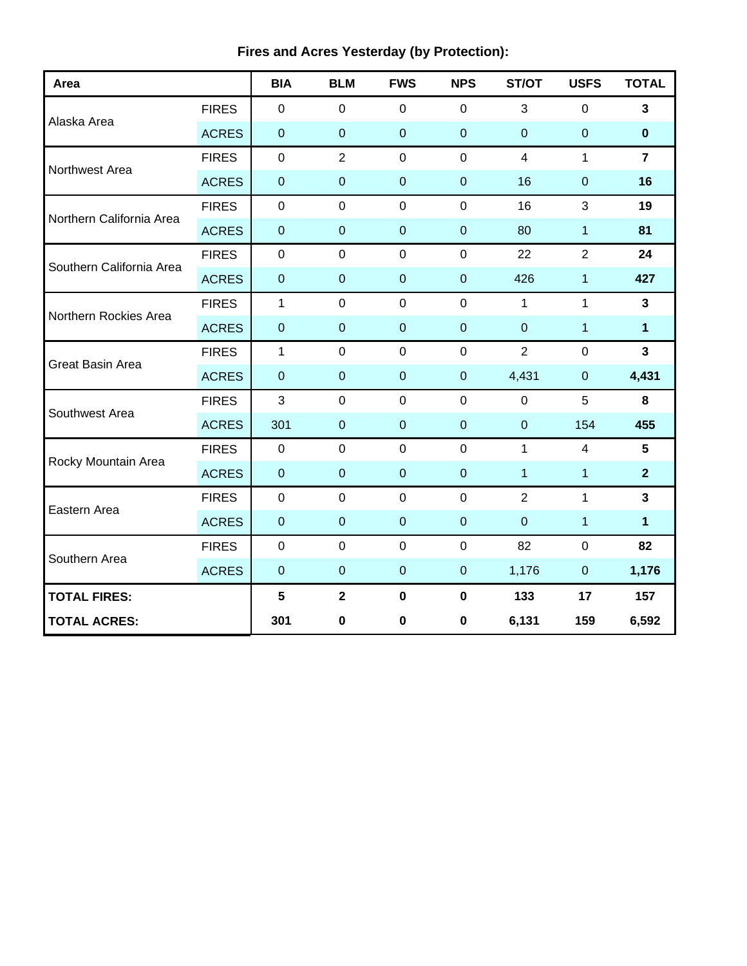| Area                     |                 | <b>BIA</b>       | <b>BLM</b>       | <b>FWS</b>       | <b>NPS</b>       | ST/OT          | <b>USFS</b>      | <b>TOTAL</b>            |
|--------------------------|-----------------|------------------|------------------|------------------|------------------|----------------|------------------|-------------------------|
|                          | <b>FIRES</b>    | $\mathbf 0$      | $\mathbf 0$      | $\mathbf 0$      | $\mathbf 0$      | 3              | 0                | $\mathbf{3}$            |
| Alaska Area              | <b>ACRES</b>    | $\pmb{0}$        | $\mathbf 0$      | $\mathbf 0$      | $\mathbf 0$      | $\overline{0}$ | $\boldsymbol{0}$ | $\pmb{0}$               |
| Northwest Area           | <b>FIRES</b>    | $\pmb{0}$        | $\overline{2}$   | $\mathbf 0$      | $\mathbf 0$      | $\overline{4}$ | 1                | $\overline{7}$          |
|                          | <b>ACRES</b>    | $\pmb{0}$        | $\mathbf 0$      | $\mathbf 0$      | $\mathbf 0$      | 16             | $\boldsymbol{0}$ | 16                      |
| Northern California Area | <b>FIRES</b>    | $\mathbf 0$      | $\mathbf 0$      | $\mathbf 0$      | $\mathbf 0$      | 16             | 3                | 19                      |
|                          | <b>ACRES</b>    | $\mathbf{0}$     | $\mathbf 0$      | $\mathbf 0$      | $\mathbf 0$      | 80             | 1                | 81                      |
| Southern California Area | <b>FIRES</b>    | $\mathbf 0$      | $\mathbf 0$      | $\mathbf 0$      | $\mathbf 0$      | 22             | $\overline{2}$   | 24                      |
|                          | <b>ACRES</b>    | $\pmb{0}$        | $\overline{0}$   | $\mathbf 0$      | $\mathbf 0$      | 426            | 1                | 427                     |
| Northern Rockies Area    | <b>FIRES</b>    | 1                | $\mathbf 0$      | $\mathbf 0$      | $\mathbf 0$      | $\mathbf{1}$   | 1                | $\mathbf{3}$            |
|                          | <b>ACRES</b>    | $\pmb{0}$        | $\boldsymbol{0}$ | $\mathbf 0$      | $\boldsymbol{0}$ | $\pmb{0}$      | $\mathbf{1}$     | $\mathbf{1}$            |
| Great Basin Area         | <b>FIRES</b>    | $\mathbf{1}$     | $\mathbf 0$      | $\mathbf 0$      | $\mathbf 0$      | $\overline{2}$ | $\mathbf 0$      | $\overline{\mathbf{3}}$ |
|                          | <b>ACRES</b>    | $\mathbf 0$      | $\mathbf 0$      | $\mathbf 0$      | $\mathbf 0$      | 4,431          | $\overline{0}$   | 4,431                   |
| Southwest Area           | <b>FIRES</b>    | $\mathbf{3}$     | $\mathbf 0$      | $\boldsymbol{0}$ | $\mathbf 0$      | $\mathbf 0$    | 5                | $\bf 8$                 |
|                          | <b>ACRES</b>    | 301              | $\mathbf 0$      | $\mathbf 0$      | $\boldsymbol{0}$ | $\pmb{0}$      | 154              | 455                     |
| Rocky Mountain Area      | <b>FIRES</b>    | $\mathbf 0$      | $\mathbf 0$      | $\mathbf 0$      | $\mathbf 0$      | $\mathbf{1}$   | $\overline{4}$   | $5\phantom{.0}$         |
|                          | <b>ACRES</b>    | $\pmb{0}$        | $\mathbf{0}$     | $\mathbf 0$      | $\mathbf{0}$     | $\mathbf{1}$   | 1                | $\overline{2}$          |
|                          | <b>FIRES</b>    | $\pmb{0}$        | $\mathbf 0$      | $\mathbf 0$      | $\mathbf 0$      | $\overline{2}$ | 1                | $\mathbf{3}$            |
| Eastern Area             | <b>ACRES</b>    | $\pmb{0}$        | $\mathbf 0$      | $\mathbf 0$      | $\pmb{0}$        | $\overline{0}$ | 1                | $\mathbf{1}$            |
| Southern Area            | <b>FIRES</b>    | $\mathbf 0$      | $\mathbf 0$      | $\mathbf 0$      | $\mathbf 0$      | 82             | $\mathbf 0$      | 82                      |
|                          | <b>ACRES</b>    | $\boldsymbol{0}$ | $\overline{0}$   | $\mathbf 0$      | $\pmb{0}$        | 1,176          | $\mathbf 0$      | 1,176                   |
| <b>TOTAL FIRES:</b>      | $5\phantom{.0}$ | $\mathbf{2}$     | $\mathbf 0$      | $\mathbf 0$      | 133              | 17             | 157              |                         |
| <b>TOTAL ACRES:</b>      | 301             | 0                | 0                | $\mathbf 0$      | 6,131            | 159            | 6,592            |                         |

## **Fires and Acres Yesterday (by Protection):**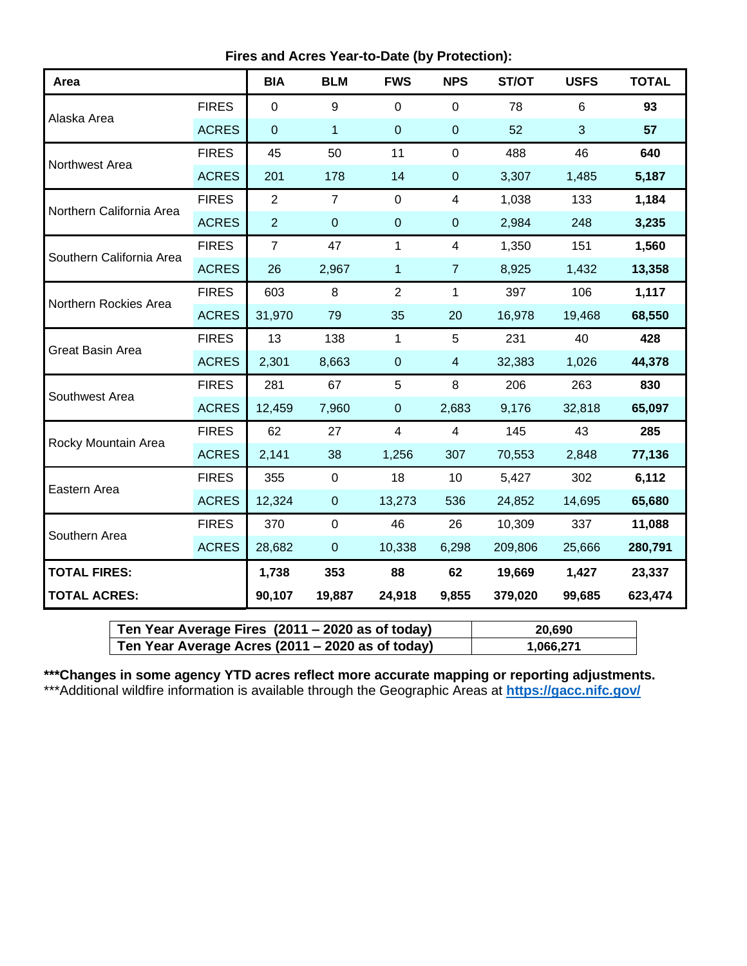**Fires and Acres Year-to-Date (by Protection):**

| Area                     |              | <b>BIA</b>     | <b>BLM</b>     | <b>FWS</b>     | <b>NPS</b>              | ST/OT   | <b>USFS</b> | <b>TOTAL</b> |
|--------------------------|--------------|----------------|----------------|----------------|-------------------------|---------|-------------|--------------|
|                          | <b>FIRES</b> | $\overline{0}$ | 9              | $\mathbf 0$    | $\overline{0}$          | 78      | 6           | 93           |
| Alaska Area              | <b>ACRES</b> | $\mathbf 0$    | $\mathbf{1}$   | $\pmb{0}$      | $\pmb{0}$               | 52      | 3           | 57           |
| Northwest Area           | <b>FIRES</b> | 45             | 50             | 11             | $\mathbf 0$             | 488     | 46          | 640          |
|                          | <b>ACRES</b> | 201            | 178            | 14             | $\pmb{0}$               | 3,307   | 1,485       | 5,187        |
| Northern California Area | <b>FIRES</b> | $\overline{2}$ | $\overline{7}$ | $\Omega$       | 4                       | 1,038   | 133         | 1,184        |
|                          | <b>ACRES</b> | $\overline{2}$ | $\pmb{0}$      | $\mathbf 0$    | $\mathbf 0$             | 2,984   | 248         | 3,235        |
| Southern California Area | <b>FIRES</b> | $\overline{7}$ | 47             | 1              | 4                       | 1,350   | 151         | 1,560        |
|                          | <b>ACRES</b> | 26             | 2,967          | $\mathbf{1}$   | $\overline{7}$          | 8,925   | 1,432       | 13,358       |
| Northern Rockies Area    | <b>FIRES</b> | 603            | 8              | $\overline{2}$ | $\mathbf{1}$            | 397     | 106         | 1,117        |
|                          | <b>ACRES</b> | 31,970         | 79             | 35             | 20                      | 16,978  | 19,468      | 68,550       |
| <b>Great Basin Area</b>  | <b>FIRES</b> | 13             | 138            | 1              | 5                       | 231     | 40          | 428          |
|                          | <b>ACRES</b> | 2,301          | 8,663          | $\mathbf 0$    | $\overline{\mathbf{4}}$ | 32,383  | 1,026       | 44,378       |
| Southwest Area           | <b>FIRES</b> | 281            | 67             | 5              | 8                       | 206     | 263         | 830          |
|                          | <b>ACRES</b> | 12,459         | 7,960          | $\overline{0}$ | 2,683                   | 9,176   | 32,818      | 65,097       |
| Rocky Mountain Area      | <b>FIRES</b> | 62             | 27             | 4              | $\overline{4}$          | 145     | 43          | 285          |
|                          | <b>ACRES</b> | 2,141          | 38             | 1,256          | 307                     | 70,553  | 2,848       | 77,136       |
| Eastern Area             | <b>FIRES</b> | 355            | $\mathbf 0$    | 18             | 10                      | 5,427   | 302         | 6,112        |
|                          | <b>ACRES</b> | 12,324         | $\overline{0}$ | 13,273         | 536                     | 24,852  | 14,695      | 65,680       |
| Southern Area            | <b>FIRES</b> | 370            | $\mathbf 0$    | 46             | 26                      | 10,309  | 337         | 11,088       |
|                          | <b>ACRES</b> | 28,682         | $\mathbf 0$    | 10,338         | 6,298                   | 209,806 | 25,666      | 280,791      |
| <b>TOTAL FIRES:</b>      | 1,738        | 353            | 88             | 62             | 19,669                  | 1,427   | 23,337      |              |
| <b>TOTAL ACRES:</b>      | 90,107       | 19,887         | 24,918         | 9,855          | 379,020                 | 99,685  | 623,474     |              |

| Ten Year Average Fires (2011 – 2020 as of today) | 20.690    |
|--------------------------------------------------|-----------|
| Ten Year Average Acres (2011 – 2020 as of today) | 1,066,271 |

**\*\*\*Changes in some agency YTD acres reflect more accurate mapping or reporting adjustments.** \*\*\*Additional wildfire information is available through the Geographic Areas at **<https://gacc.nifc.gov/>**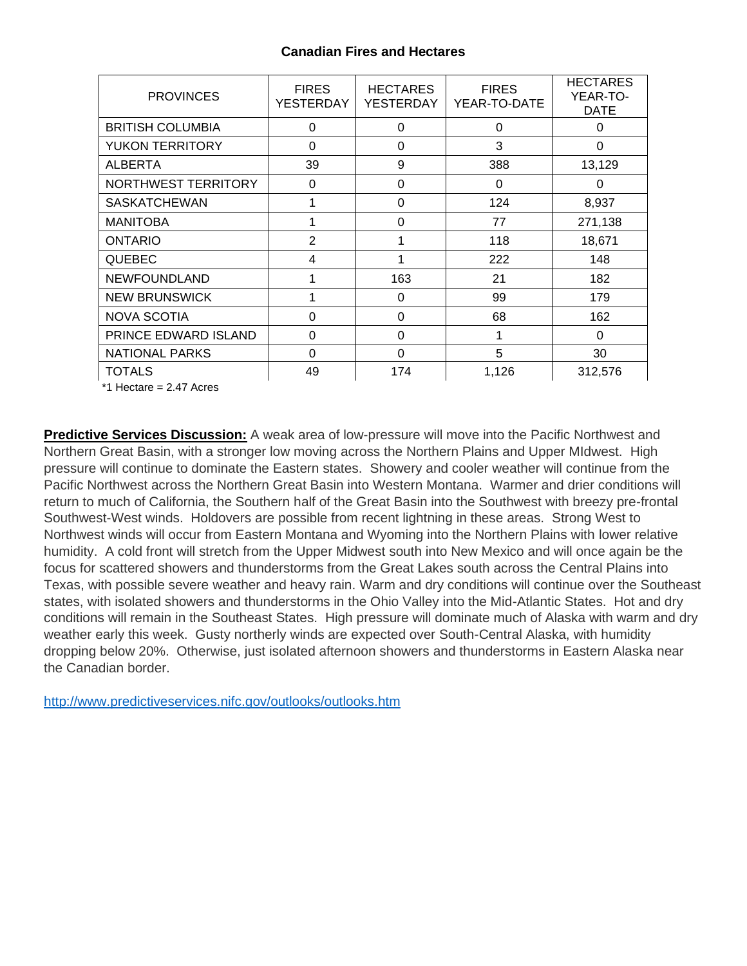## **Canadian Fires and Hectares**

| <b>PROVINCES</b>        | <b>FIRES</b><br><b>YESTERDAY</b> | <b>HECTARES</b><br>YESTERDAY | <b>FIRES</b><br>YEAR-TO-DATE | <b>HECTARES</b><br>YEAR-TO-<br><b>DATE</b> |
|-------------------------|----------------------------------|------------------------------|------------------------------|--------------------------------------------|
| <b>BRITISH COLUMBIA</b> | $\Omega$                         | $\Omega$                     | 0                            | $\Omega$                                   |
| <b>YUKON TERRITORY</b>  | 0                                | $\Omega$                     | 3                            | $\Omega$                                   |
| <b>ALBERTA</b>          | 39                               | 9                            | 388                          | 13,129                                     |
| NORTHWEST TERRITORY     | 0                                | 0                            | 0                            | 0                                          |
| <b>SASKATCHEWAN</b>     |                                  | $\Omega$                     | 124                          | 8,937                                      |
| <b>MANITOBA</b>         |                                  | 0                            | 77                           | 271,138                                    |
| <b>ONTARIO</b>          | $\overline{2}$                   | 1                            | 118                          | 18,671                                     |
| <b>QUEBEC</b>           | 4                                | 1                            | 222                          | 148                                        |
| <b>NEWFOUNDLAND</b>     |                                  | 163                          | 21                           | 182                                        |
| <b>NEW BRUNSWICK</b>    |                                  | 0                            | 99                           | 179                                        |
| <b>NOVA SCOTIA</b>      | $\Omega$                         | $\Omega$                     | 68                           | 162                                        |
| PRINCE EDWARD ISLAND    | 0                                | 0                            | 1                            | 0                                          |
| <b>NATIONAL PARKS</b>   | 0                                | $\Omega$                     | 5                            | 30                                         |
| <b>TOTALS</b>           | 49                               | 174                          | 1,126                        | 312,576                                    |

\*1 Hectare = 2.47 Acres

**Predictive Services Discussion:** A weak area of low-pressure will move into the Pacific Northwest and Northern Great Basin, with a stronger low moving across the Northern Plains and Upper MIdwest. High pressure will continue to dominate the Eastern states. Showery and cooler weather will continue from the Pacific Northwest across the Northern Great Basin into Western Montana. Warmer and drier conditions will return to much of California, the Southern half of the Great Basin into the Southwest with breezy pre-frontal Southwest-West winds. Holdovers are possible from recent lightning in these areas. Strong West to Northwest winds will occur from Eastern Montana and Wyoming into the Northern Plains with lower relative humidity. A cold front will stretch from the Upper Midwest south into New Mexico and will once again be the focus for scattered showers and thunderstorms from the Great Lakes south across the Central Plains into Texas, with possible severe weather and heavy rain. Warm and dry conditions will continue over the Southeast states, with isolated showers and thunderstorms in the Ohio Valley into the Mid-Atlantic States. Hot and dry conditions will remain in the Southeast States. High pressure will dominate much of Alaska with warm and dry weather early this week. Gusty northerly winds are expected over South-Central Alaska, with humidity dropping below 20%. Otherwise, just isolated afternoon showers and thunderstorms in Eastern Alaska near the Canadian border.

<http://www.predictiveservices.nifc.gov/outlooks/outlooks.htm>